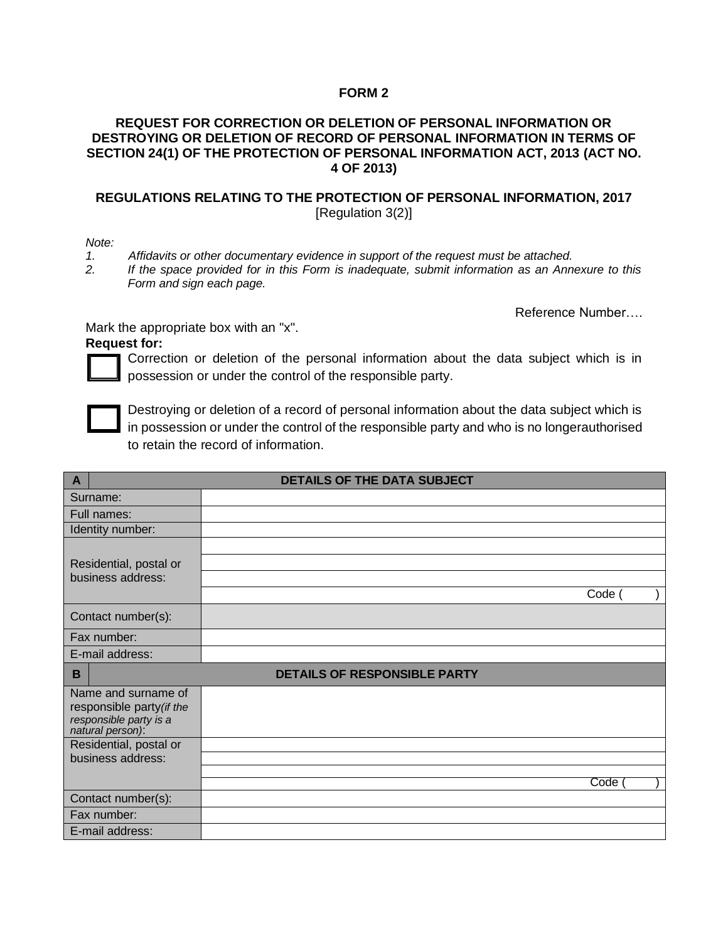## **FORM 2**

## **REQUEST FOR CORRECTION OR DELETION OF PERSONAL INFORMATION OR DESTROYING OR DELETION OF RECORD OF PERSONAL INFORMATION IN TERMS OF SECTION 24(1) OF THE PROTECTION OF PERSONAL INFORMATION ACT, 2013 (ACT NO. 4 OF 2013)**

## **REGULATIONS RELATING TO THE PROTECTION OF PERSONAL INFORMATION, 2017** [Regulation 3(2)]

*Note:*

*1. Affidavits or other documentary evidence in support of the request must be attached.*

*2. If the space provided for in this Form is inadequate, submit information as an Annexure to this Form and sign each page.*

Reference Number….

Mark the appropriate box with an "x".

## **Request for:**

Correction or deletion of the personal information about the data subject which is in possession or under the control of the responsible party.



Destroying or deletion of a record of personal information about the data subject which is in possession or under the control of the responsible party and who is no longerauthorised to retain the record of information.

| $\overline{A}$                                                                                 | <b>DETAILS OF THE DATA SUBJECT</b>  |  |
|------------------------------------------------------------------------------------------------|-------------------------------------|--|
| Surname:                                                                                       |                                     |  |
| Full names:                                                                                    |                                     |  |
| Identity number:                                                                               |                                     |  |
|                                                                                                |                                     |  |
| Residential, postal or                                                                         |                                     |  |
| business address:                                                                              |                                     |  |
|                                                                                                | Code (                              |  |
| Contact number(s):                                                                             |                                     |  |
| Fax number:                                                                                    |                                     |  |
| E-mail address:                                                                                |                                     |  |
| B                                                                                              | <b>DETAILS OF RESPONSIBLE PARTY</b> |  |
| Name and surname of<br>responsible party (if the<br>responsible party is a<br>natural person): |                                     |  |
| Residential, postal or                                                                         |                                     |  |
| business address:                                                                              |                                     |  |
|                                                                                                | Code                                |  |
| Contact number(s):                                                                             |                                     |  |
| Fax number:                                                                                    |                                     |  |
| E-mail address:                                                                                |                                     |  |